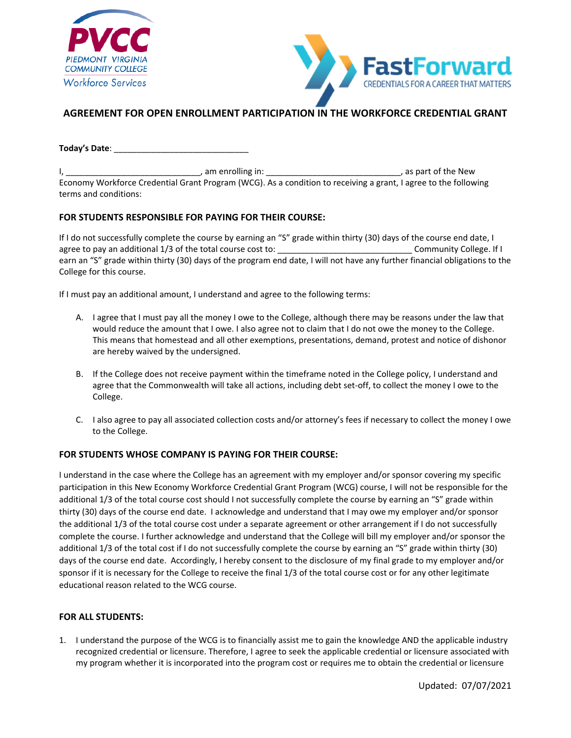



# **AGREEMENT FOR OPEN ENROLLMENT PARTICIPATION IN THE WORKFORCE CREDENTIAL GRANT**

**Today's Date**: \_\_\_\_\_\_\_\_\_\_\_\_\_\_\_\_\_\_\_\_\_\_\_\_\_\_\_\_\_

I, the contract of the New Contract of the New Contract of the New Contract of the New Contract of the New Contract of the New Contract of the New Contract of the New Contract of the New Contract of the New Contract of the Economy Workforce Credential Grant Program (WCG). As a condition to receiving a grant, I agree to the following terms and conditions:

## **FOR STUDENTS RESPONSIBLE FOR PAYING FOR THEIR COURSE:**

If I do not successfully complete the course by earning an "S" grade within thirty (30) days of the course end date, I agree to pay an additional 1/3 of the total course cost to: \_\_\_\_\_\_\_\_\_\_\_\_\_\_\_\_\_\_\_\_\_\_\_\_\_\_\_\_\_ Community College. If I earn an "S" grade within thirty (30) days of the program end date, I will not have any further financial obligations to the College for this course.

If I must pay an additional amount, I understand and agree to the following terms:

- A. I agree that I must pay all the money I owe to the College, although there may be reasons under the law that would reduce the amount that I owe. I also agree not to claim that I do not owe the money to the College. This means that homestead and all other exemptions, presentations, demand, protest and notice of dishonor are hereby waived by the undersigned.
- B. If the College does not receive payment within the timeframe noted in the College policy, I understand and agree that the Commonwealth will take all actions, including debt set-off, to collect the money I owe to the College.
- C. I also agree to pay all associated collection costs and/or attorney's fees if necessary to collect the money I owe to the College.

## **FOR STUDENTS WHOSE COMPANY IS PAYING FOR THEIR COURSE:**

I understand in the case where the College has an agreement with my employer and/or sponsor covering my specific participation in this New Economy Workforce Credential Grant Program (WCG) course, I will not be responsible for the additional 1/3 of the total course cost should I not successfully complete the course by earning an "S" grade within thirty (30) days of the course end date. I acknowledge and understand that I may owe my employer and/or sponsor the additional 1/3 of the total course cost under a separate agreement or other arrangement if I do not successfully complete the course. I further acknowledge and understand that the College will bill my employer and/or sponsor the additional 1/3 of the total cost if I do not successfully complete the course by earning an "S" grade within thirty (30) days of the course end date. Accordingly, I hereby consent to the disclosure of my final grade to my employer and/or sponsor if it is necessary for the College to receive the final 1/3 of the total course cost or for any other legitimate educational reason related to the WCG course.

## **FOR ALL STUDENTS:**

1. I understand the purpose of the WCG is to financially assist me to gain the knowledge AND the applicable industry recognized credential or licensure. Therefore, I agree to seek the applicable credential or licensure associated with my program whether it is incorporated into the program cost or requires me to obtain the credential or licensure